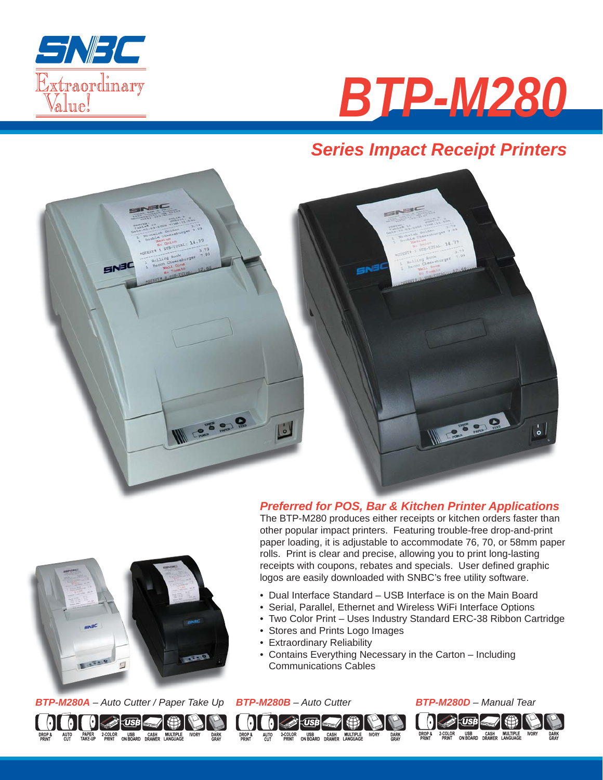



# *Series Impact Receipt Printers*



## *Preferred for POS, Bar & Kitchen Printer Applications*

The BTP-M280 produces either receipts or kitchen orders faster than other popular impact printers. Featuring trouble-free drop-and-print paper loading, it is adjustable to accommodate 76, 70, or 58mm paper rolls. Print is clear and precise, allowing you to print long-lasting receipts with coupons, rebates and specials. User defined graphic logos are easily downloaded with SNBC's free utility software.

- Dual Interface Standard USB Interface is on the Main Board
- Serial, Parallel, Ethernet and Wireless WiFi Interface Options
- Two Color Print Uses Industry Standard ERC-38 Ribbon Cartridge
- Stores and Prints Logo Images
- Extraordinary Reliability

 $\vert 0 \vert \ll$  USB  $\vert \ll \vert 1 \vert$ 

AUTO 2-COLOR USB CASH MULTIPLE<br>CUT PRINT ON BOARD DRAWER LANGUAGE

• Contains Everything Necessary in the Carton – Including Communications Cables

**IVORY** 

 $\Omega$ 

DROP &<br>PRINT





*BTP-M280A – Auto Cutter / Paper Take Up BTP-M280B – Auto Cutter BTP-M280D – Manual Tear*M  $\left| \right| \leqslant \left| \right| \leqslant \left| \right|$ AUTO PAPER 2-COLOR USB CASH MULTIPLE IVORY<br>CUT TAKE-UP PRINT ON-BOARD DRAWER LANGUAGE **DARK**